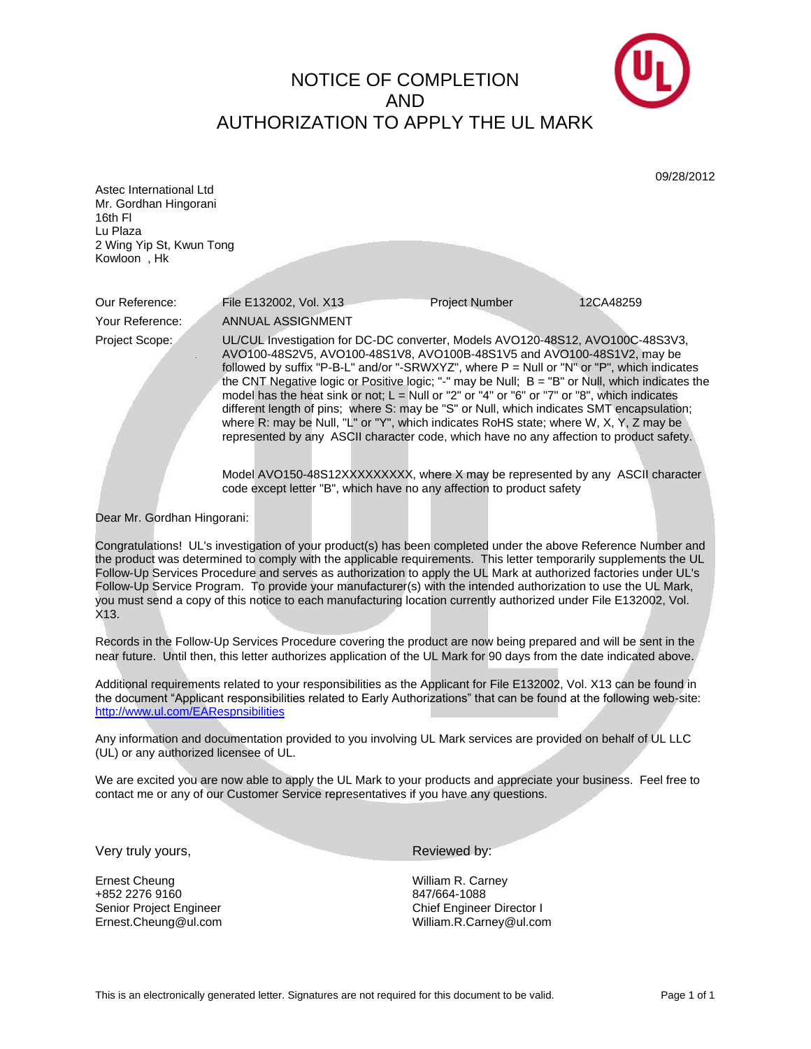NOTICE OF COMPLETION AND AUTHORIZATION TO APPLY THE UL MARK



|                                                                                                                                                                                                                                                                                                                                                                                                                                                                                                                                                                                                       |                                                                                                                                                                                                                                                                                                                                                                                                                                                                                                                                                                                                                                                                                                                                                                                                                               |                   | 09/28/2012 |
|-------------------------------------------------------------------------------------------------------------------------------------------------------------------------------------------------------------------------------------------------------------------------------------------------------------------------------------------------------------------------------------------------------------------------------------------------------------------------------------------------------------------------------------------------------------------------------------------------------|-------------------------------------------------------------------------------------------------------------------------------------------------------------------------------------------------------------------------------------------------------------------------------------------------------------------------------------------------------------------------------------------------------------------------------------------------------------------------------------------------------------------------------------------------------------------------------------------------------------------------------------------------------------------------------------------------------------------------------------------------------------------------------------------------------------------------------|-------------------|------------|
| Astec International Ltd<br>Mr. Gordhan Hingorani<br>16th FI                                                                                                                                                                                                                                                                                                                                                                                                                                                                                                                                           |                                                                                                                                                                                                                                                                                                                                                                                                                                                                                                                                                                                                                                                                                                                                                                                                                               |                   |            |
| Lu Plaza                                                                                                                                                                                                                                                                                                                                                                                                                                                                                                                                                                                              |                                                                                                                                                                                                                                                                                                                                                                                                                                                                                                                                                                                                                                                                                                                                                                                                                               |                   |            |
| 2 Wing Yip St, Kwun Tong                                                                                                                                                                                                                                                                                                                                                                                                                                                                                                                                                                              |                                                                                                                                                                                                                                                                                                                                                                                                                                                                                                                                                                                                                                                                                                                                                                                                                               |                   |            |
| Kowloon, Hk                                                                                                                                                                                                                                                                                                                                                                                                                                                                                                                                                                                           |                                                                                                                                                                                                                                                                                                                                                                                                                                                                                                                                                                                                                                                                                                                                                                                                                               |                   |            |
|                                                                                                                                                                                                                                                                                                                                                                                                                                                                                                                                                                                                       |                                                                                                                                                                                                                                                                                                                                                                                                                                                                                                                                                                                                                                                                                                                                                                                                                               |                   |            |
| Our Reference:                                                                                                                                                                                                                                                                                                                                                                                                                                                                                                                                                                                        | File E132002, Vol. X13                                                                                                                                                                                                                                                                                                                                                                                                                                                                                                                                                                                                                                                                                                                                                                                                        | Project Number    | 12CA48259  |
| Your Reference:                                                                                                                                                                                                                                                                                                                                                                                                                                                                                                                                                                                       | ANNUAL ASSIGNMENT                                                                                                                                                                                                                                                                                                                                                                                                                                                                                                                                                                                                                                                                                                                                                                                                             |                   |            |
| Project Scope:                                                                                                                                                                                                                                                                                                                                                                                                                                                                                                                                                                                        | UL/CUL Investigation for DC-DC converter, Models AVO120-48S12, AVO100C-48S3V3,<br>AVO100-48S2V5, AVO100-48S1V8, AVO100B-48S1V5 and AVO100-48S1V2, may be<br>followed by suffix "P-B-L" and/or "-SRWXYZ", where P = Null or "N" or "P", which indicates<br>the CNT Negative logic or Positive logic; "-" may be Null; B = "B" or Null, which indicates the<br>model has the heat sink or not; $L =$ Null or "2" or "4" or "6" or "7" or "8", which indicates<br>different length of pins; where S: may be "S" or Null, which indicates SMT encapsulation;<br>where R: may be Null, "L" or "Y", which indicates RoHS state; where W, X, Y, Z may be<br>represented by any ASCII character code, which have no any affection to product safety.<br>Model AVO150-48S12XXXXXXXX, where X may be represented by any ASCII character |                   |            |
|                                                                                                                                                                                                                                                                                                                                                                                                                                                                                                                                                                                                       | code except letter "B", which have no any affection to product safety                                                                                                                                                                                                                                                                                                                                                                                                                                                                                                                                                                                                                                                                                                                                                         |                   |            |
| Dear Mr. Gordhan Hingorani:                                                                                                                                                                                                                                                                                                                                                                                                                                                                                                                                                                           |                                                                                                                                                                                                                                                                                                                                                                                                                                                                                                                                                                                                                                                                                                                                                                                                                               |                   |            |
| Congratulations! UL's investigation of your product(s) has been completed under the above Reference Number and<br>the product was determined to comply with the applicable requirements. This letter temporarily supplements the UL<br>Follow-Up Services Procedure and serves as authorization to apply the UL Mark at authorized factories under UL's<br>Follow-Up Service Program. To provide your manufacturer(s) with the intended authorization to use the UL Mark,<br>you must send a copy of this notice to each manufacturing location currently authorized under File E132002, Vol.<br>X13. |                                                                                                                                                                                                                                                                                                                                                                                                                                                                                                                                                                                                                                                                                                                                                                                                                               |                   |            |
| Records in the Follow-Up Services Procedure covering the product are now being prepared and will be sent in the                                                                                                                                                                                                                                                                                                                                                                                                                                                                                       |                                                                                                                                                                                                                                                                                                                                                                                                                                                                                                                                                                                                                                                                                                                                                                                                                               |                   |            |
| near future. Until then, this letter authorizes application of the UL Mark for 90 days from the date indicated above.                                                                                                                                                                                                                                                                                                                                                                                                                                                                                 |                                                                                                                                                                                                                                                                                                                                                                                                                                                                                                                                                                                                                                                                                                                                                                                                                               |                   |            |
| Additional requirements related to your responsibilities as the Applicant for File E132002, Vol. X13 can be found in<br>the document "Applicant responsibilities related to Early Authorizations" that can be found at the following web-site:<br>http://www.ul.com/EARespnsibilities                                                                                                                                                                                                                                                                                                                 |                                                                                                                                                                                                                                                                                                                                                                                                                                                                                                                                                                                                                                                                                                                                                                                                                               |                   |            |
| Any information and documentation provided to you involving UL Mark services are provided on behalf of UL LLC<br>(UL) or any authorized licensee of UL                                                                                                                                                                                                                                                                                                                                                                                                                                                |                                                                                                                                                                                                                                                                                                                                                                                                                                                                                                                                                                                                                                                                                                                                                                                                                               |                   |            |
| We are excited you are now able to apply the UL Mark to your products and appreciate your business. Feel free to<br>contact me or any of our Customer Service representatives if you have any questions.                                                                                                                                                                                                                                                                                                                                                                                              |                                                                                                                                                                                                                                                                                                                                                                                                                                                                                                                                                                                                                                                                                                                                                                                                                               |                   |            |
|                                                                                                                                                                                                                                                                                                                                                                                                                                                                                                                                                                                                       |                                                                                                                                                                                                                                                                                                                                                                                                                                                                                                                                                                                                                                                                                                                                                                                                                               |                   |            |
|                                                                                                                                                                                                                                                                                                                                                                                                                                                                                                                                                                                                       |                                                                                                                                                                                                                                                                                                                                                                                                                                                                                                                                                                                                                                                                                                                                                                                                                               |                   |            |
| Very truly yours,                                                                                                                                                                                                                                                                                                                                                                                                                                                                                                                                                                                     |                                                                                                                                                                                                                                                                                                                                                                                                                                                                                                                                                                                                                                                                                                                                                                                                                               | Reviewed by:      |            |
| <b>Ernest Cheung</b>                                                                                                                                                                                                                                                                                                                                                                                                                                                                                                                                                                                  |                                                                                                                                                                                                                                                                                                                                                                                                                                                                                                                                                                                                                                                                                                                                                                                                                               | William R. Carney |            |

+852 2276 9160<br>
Senior Project Engineer<br>
Senior Project Engineer<br>
Senior Project Engineer

Senior Project Engineer<br>
Ernest.Cheung@ul.com<br>
Chief Engineer Director I<br>
William.R.Carney@ul.com<br>
William.R.Carney@ul.com William.R.Carney@ul.com